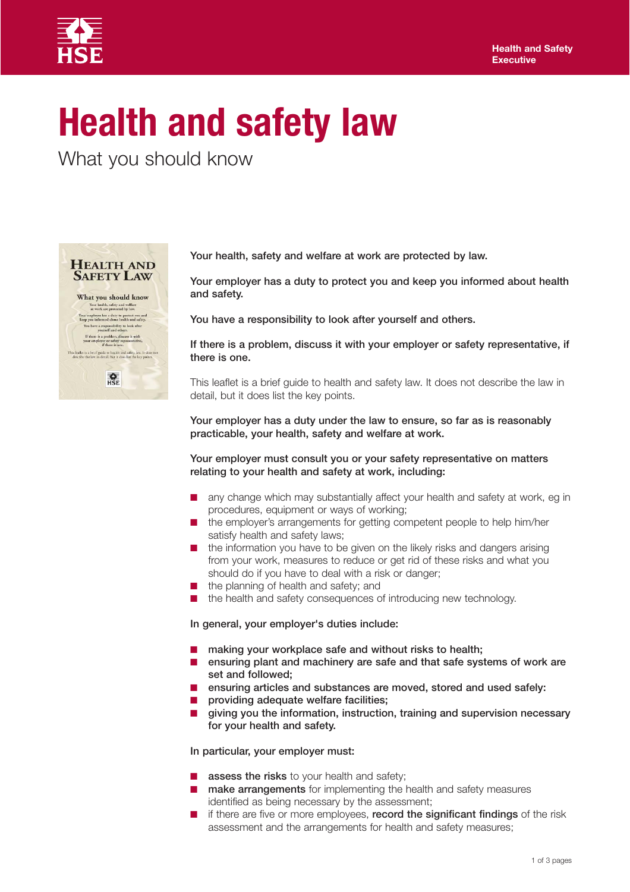

## **Health and safety law**

What you should know



**Your health, safety and welfare at work are protected by law.**

**Your employer has a duty to protect you and keep you informed about health and safety.** 

**You have a responsibility to look after yourself and others.** 

**If there is a problem, discuss it with your employer or safety representative, if there is one.**

This leaflet is a brief guide to health and safety law. It does not describe the law in detail, but it does list the key points.

**Your employer has a duty under the law to ensure, so far as is reasonably practicable, your health, safety and welfare at work.**

## **Your employer must consult you or your safety representative on matters relating to your health and safety at work, including:**

- any change which may substantially affect your health and safety at work, eg in procedures, equipment or ways of working;
- the employer's arrangements for getting competent people to help him/her satisfy health and safety laws;
- the information you have to be given on the likely risks and dangers arising from your work, measures to reduce or get rid of these risks and what you should do if you have to deal with a risk or danger;
- the planning of health and safety; and
- the health and safety consequences of introducing new technology.

**In general, your employer's duties include:** 

- making your workplace safe and without risks to health;
- **ensuring plant and machinery are safe and that safe systems of work are set and followed;**
- ensuring articles and substances are moved, stored and used safely:
- **providing adequate welfare facilities;**
- giving you the information, instruction, training and supervision necessary **for your health and safety.**

**In particular, your employer must:**

- **assess the risks** to your health and safety;
- **make arrangements** for implementing the health and safety measures identified as being necessary by the assessment;
- if there are five or more employees, **record the significant findings** of the risk assessment and the arrangements for health and safety measures;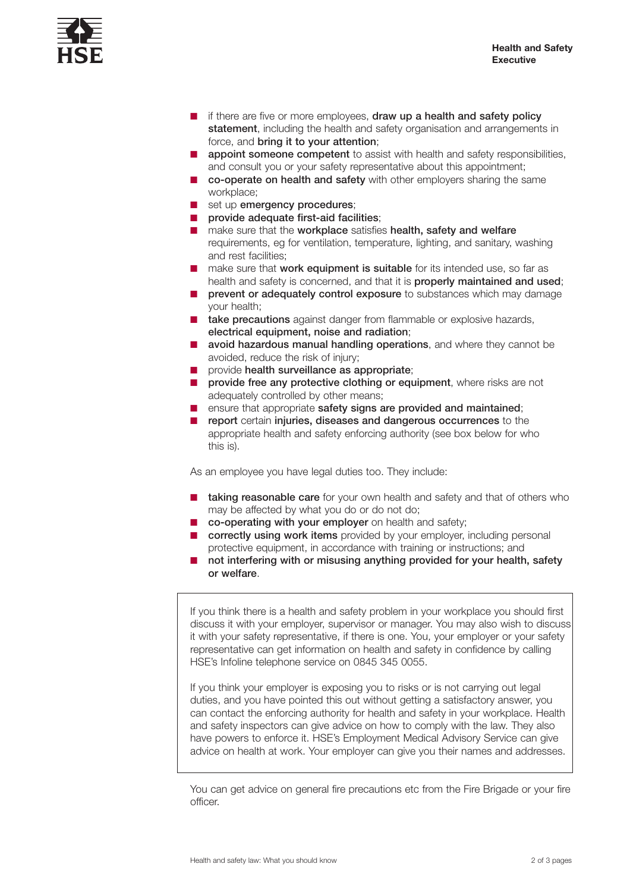

- if there are five or more employees, **draw up a health and safety policy statement**, including the health and safety organisation and arrangements in force, and **bring it to your attention**;
- **appoint someone competent** to assist with health and safety responsibilities, and consult you or your safety representative about this appointment;
- **co-operate on health and safety** with other employers sharing the same workplace:
- set up **emergency procedures**;
- **provide adequate first-aid facilities**;
- make sure that the **workplace** satisfies **health, safety and welfare** requirements, eg for ventilation, temperature, lighting, and sanitary, washing and rest facilities;
- make sure that **work equipment is suitable** for its intended use, so far as health and safety is concerned, and that it is **properly maintained and used**;
- **prevent or adequately control exposure** to substances which may damage your health;
- **take precautions** against danger from flammable or explosive hazards, **electrical equipment, noise and radiation**;
- **avoid hazardous manual handling operations**, and where they cannot be avoided, reduce the risk of injury;
- provide **health surveillance as appropriate**;
- **provide free any protective clothing or equipment**, where risks are not adequately controlled by other means;
- ensure that appropriate **safety signs are provided and maintained**;
- **report** certain **injuries, diseases and dangerous occurrences** to the appropriate health and safety enforcing authority (see box below for who this is).

As an employee you have legal duties too. They include:

- **taking reasonable care** for your own health and safety and that of others who may be affected by what you do or do not do;
- **co-operating with your employer** on health and safety;
- **correctly using work items** provided by your employer, including personal protective equipment, in accordance with training or instructions; and
- **not interfering with or misusing anything provided for your health, safety or welfare**.

If you think there is a health and safety problem in your workplace you should first discuss it with your employer, supervisor or manager. You may also wish to discuss it with your safety representative, if there is one. You, your employer or your safety representative can get information on health and safety in confidence by calling HSE's Infoline telephone service on 0845 345 0055.

If you think your employer is exposing you to risks or is not carrying out legal duties, and you have pointed this out without getting a satisfactory answer, you can contact the enforcing authority for health and safety in your workplace. Health and safety inspectors can give advice on how to comply with the law. They also have powers to enforce it. HSE's Employment Medical Advisory Service can give advice on health at work. Your employer can give you their names and addresses.

You can get advice on general fire precautions etc from the Fire Brigade or your fire officer.